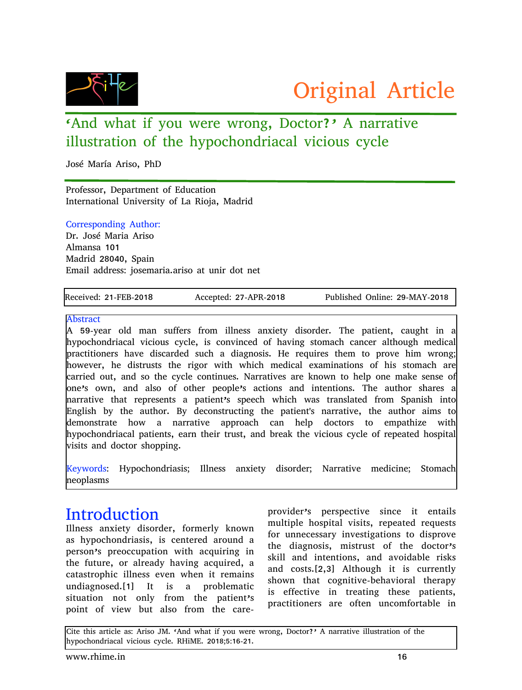

# 'And what if you were wrong, Doctor?' A narrative illustration of the hypochondriacal vicious cycle

José María Ariso, PhD

Professor, Department of Education International University of La Rioja, Madrid

#### Corresponding Author:

Dr. José Maria Ariso Almansa 101 Madrid 28040, Spain Email address: josemaria.ariso at unir dot net

Received: 21-FEB-2018 Accepted: 27-APR-2018 Published Online: 29-MAY-2018

#### Abstract

A 59-year old man suffers from illness anxiety disorder. The patient, caught in a hypochondriacal vicious cycle, is convinced of having stomach cancer although medical practitioners have discarded such a diagnosis. He requires them to prove him wrong; however, he distrusts the rigor with which medical examinations of his stomach are carried out, and so the cycle continues. Narratives are known to help one make sense of one's own, and also of other people's actions and intentions. The author shares a narrative that represents a patient's speech which was translated from Spanish into English by the author. By deconstructing the patient's narrative, the author aims to demonstrate how a narrative approach can help doctors to empathize with hypochondriacal patients, earn their trust, and break the vicious cycle of repeated hospital visits and doctor shopping.

Keywords: Hypochondriasis; Illness anxiety disorder; Narrative medicine; Stomach neoplasms

# **Introduction**

Illness anxiety disorder, formerly known as hypochondriasis, is centered around a person's preoccupation with acquiring in the future, or already having acquired, a catastrophic illness even when it remains undiagnosed.[1] It is a problematic situation not only from the patient's point of view but also from the careprovider's perspective since it entails multiple hospital visits, repeated requests for unnecessary investigations to disprove the diagnosis, mistrust of the doctor's skill and intentions, and avoidable risks and costs.[2,3] Although it is currently shown that cognitive-behavioral therapy is effective in treating these patients, practitioners are often uncomfortable in

Cite this article as: Ariso JM. 'And what if you were wrong, Doctor?' A narrative illustration of the hypochondriacal vicious cycle. RHiME. 2018;5:16-21.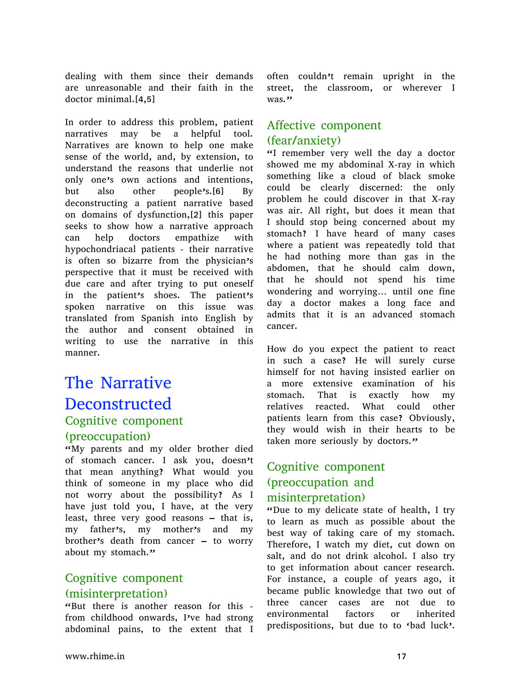dealing with them since their demands are unreasonable and their faith in the doctor minimal.[4,5]

In order to address this problem, patient narratives may be a helpful tool. Narratives are known to help one make sense of the world, and, by extension, to understand the reasons that underlie not only one's own actions and intentions, but also other people's.[6] By deconstructing a patient narrative based on domains of dysfunction,[2] this paper seeks to show how a narrative approach can help doctors empathize with hypochondriacal patients - their narrative is often so bizarre from the physician's perspective that it must be received with due care and after trying to put oneself in the patient's shoes. The patient's spoken narrative on this issue was translated from Spanish into English by the author and consent obtained in writing to use the narrative in this manner.

# The Narrative Deconstructed Cognitive component (preoccupation)

"My parents and my older brother died of stomach cancer. I ask you, doesn't that mean anything? What would you think of someone in my place who did not worry about the possibility? As I have just told you, I have, at the very least, three very good reasons – that is, my father's, my mother's and my brother's death from cancer – to worry about my stomach."

#### Cognitive component (misinterpretation)

"But there is another reason for this from childhood onwards, I've had strong abdominal pains, to the extent that I often couldn't remain upright in the street, the classroom, or wherever I was."

#### Affective component (fear/anxiety)

"I remember very well the day a doctor showed me my abdominal X-ray in which something like a cloud of black smoke could be clearly discerned: the only problem he could discover in that X-ray was air. All right, but does it mean that I should stop being concerned about my stomach? I have heard of many cases where a patient was repeatedly told that he had nothing more than gas in the abdomen, that he should calm down, that he should not spend his time wondering and worrying… until one fine day a doctor makes a long face and admits that it is an advanced stomach cancer.

How do you expect the patient to react in such a case? He will surely curse himself for not having insisted earlier on a more extensive examination of his stomach. That is exactly how my relatives reacted. What could other patients learn from this case? Obviously, they would wish in their hearts to be taken more seriously by doctors."

### Cognitive component (preoccupation and misinterpretation)

"Due to my delicate state of health, I try to learn as much as possible about the best way of taking care of my stomach. Therefore, I watch my diet, cut down on salt, and do not drink alcohol. I also try to get information about cancer research. For instance, a couple of years ago, it became public knowledge that two out of three cancer cases are not due to environmental factors or inherited predispositions, but due to to 'bad luck'.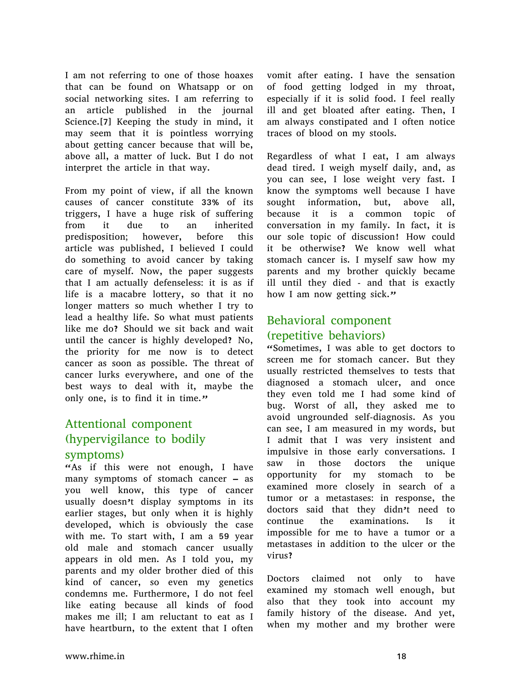I am not referring to one of those hoaxes that can be found on Whatsapp or on social networking sites. I am referring to an article published in the journal Science.[7] Keeping the study in mind, it may seem that it is pointless worrying about getting cancer because that will be, above all, a matter of luck. But I do not interpret the article in that way.

From my point of view, if all the known causes of cancer constitute 33% of its triggers, I have a huge risk of suffering from it due to an inherited predisposition; however, before this article was published, I believed I could do something to avoid cancer by taking care of myself. Now, the paper suggests that I am actually defenseless: it is as if life is a macabre lottery, so that it no longer matters so much whether I try to lead a healthy life. So what must patients like me do? Should we sit back and wait until the cancer is highly developed? No, the priority for me now is to detect cancer as soon as possible. The threat of cancer lurks everywhere, and one of the best ways to deal with it, maybe the only one, is to find it in time."

#### Attentional component (hypervigilance to bodily symptoms)

"As if this were not enough, I have many symptoms of stomach cancer – as you well know, this type of cancer usually doesn't display symptoms in its earlier stages, but only when it is highly developed, which is obviously the case with me. To start with, I am a 59 year old male and stomach cancer usually appears in old men. As I told you, my parents and my older brother died of this kind of cancer, so even my genetics condemns me. Furthermore, I do not feel like eating because all kinds of food makes me ill; I am reluctant to eat as I have heartburn, to the extent that I often

vomit after eating. I have the sensation of food getting lodged in my throat, especially if it is solid food. I feel really ill and get bloated after eating. Then, I am always constipated and I often notice traces of blood on my stools.

Regardless of what I eat, I am always dead tired. I weigh myself daily, and, as you can see, I lose weight very fast. I know the symptoms well because I have sought information, but, above all, because it is a common topic of conversation in my family. In fact, it is our sole topic of discussion! How could it be otherwise? We know well what stomach cancer is. I myself saw how my parents and my brother quickly became ill until they died - and that is exactly how I am now getting sick."

#### Behavioral component (repetitive behaviors)

"Sometimes, I was able to get doctors to screen me for stomach cancer. But they usually restricted themselves to tests that diagnosed a stomach ulcer, and once they even told me I had some kind of bug. Worst of all, they asked me to avoid ungrounded self-diagnosis. As you can see, I am measured in my words, but I admit that I was very insistent and impulsive in those early conversations. I saw in those doctors the unique opportunity for my stomach to be examined more closely in search of a tumor or a metastases: in response, the doctors said that they didn't need to continue the examinations. Is it impossible for me to have a tumor or a metastases in addition to the ulcer or the virus?

Doctors claimed not only to have examined my stomach well enough, but also that they took into account my family history of the disease. And yet, when my mother and my brother were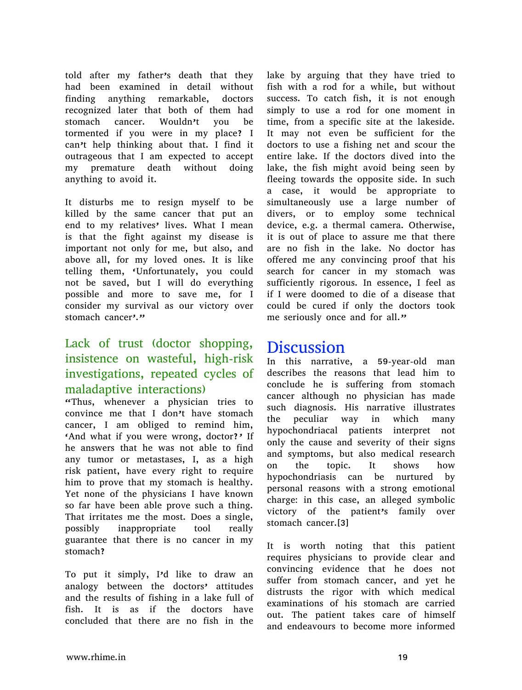told after my father's death that they had been examined in detail without finding anything remarkable, doctors recognized later that both of them had stomach cancer. Wouldn't you be tormented if you were in my place? I can't help thinking about that. I find it outrageous that I am expected to accept my premature death without doing anything to avoid it.

It disturbs me to resign myself to be killed by the same cancer that put an end to my relatives' lives. What I mean is that the fight against my disease is important not only for me, but also, and above all, for my loved ones. It is like telling them, 'Unfortunately, you could not be saved, but I will do everything possible and more to save me, for I consider my survival as our victory over stomach cancer<sup>,"</sup>

#### Lack of trust (doctor shopping, insistence on wasteful, high-risk investigations, repeated cycles of maladaptive interactions)

"Thus, whenever a physician tries to convince me that I don't have stomach cancer, I am obliged to remind him, 'And what if you were wrong, doctor?' If he answers that he was not able to find any tumor or metastases, I, as a high risk patient, have every right to require him to prove that my stomach is healthy. Yet none of the physicians I have known so far have been able prove such a thing. That irritates me the most. Does a single, possibly inappropriate tool really guarantee that there is no cancer in my stomach?

To put it simply, I'd like to draw an analogy between the doctors' attitudes and the results of fishing in a lake full of fish. It is as if the doctors have concluded that there are no fish in the

lake by arguing that they have tried to fish with a rod for a while, but without success. To catch fish, it is not enough simply to use a rod for one moment in time, from a specific site at the lakeside. It may not even be sufficient for the doctors to use a fishing net and scour the entire lake. If the doctors dived into the lake, the fish might avoid being seen by fleeing towards the opposite side. In such a case, it would be appropriate to simultaneously use a large number of divers, or to employ some technical device, e.g. a thermal camera. Otherwise, it is out of place to assure me that there are no fish in the lake. No doctor has offered me any convincing proof that his search for cancer in my stomach was sufficiently rigorous. In essence, I feel as if I were doomed to die of a disease that could be cured if only the doctors took me seriously once and for all."

### Discussion

In this narrative, a 59-year-old man describes the reasons that lead him to conclude he is suffering from stomach cancer although no physician has made such diagnosis. His narrative illustrates the peculiar way in which many hypochondriacal patients interpret not only the cause and severity of their signs and symptoms, but also medical research on the topic. It shows how hypochondriasis can be nurtured by personal reasons with a strong emotional charge: in this case, an alleged symbolic victory of the patient's family over stomach cancer.[3]

It is worth noting that this patient requires physicians to provide clear and convincing evidence that he does not suffer from stomach cancer, and yet he distrusts the rigor with which medical examinations of his stomach are carried out. The patient takes care of himself and endeavours to become more informed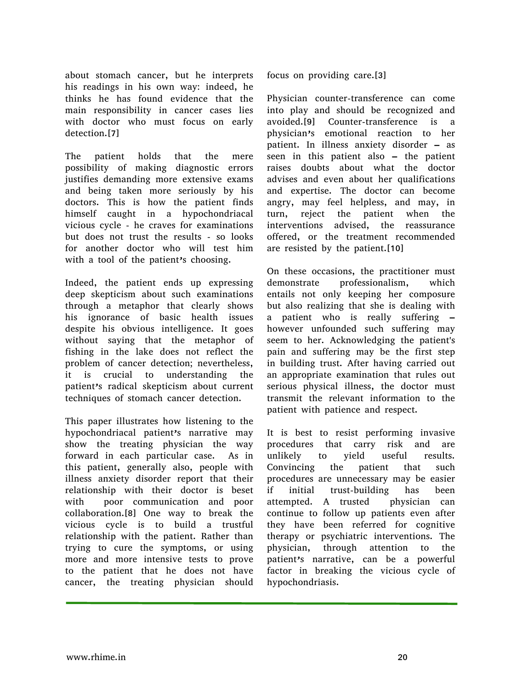about stomach cancer, but he interprets his readings in his own way: indeed, he thinks he has found evidence that the main responsibility in cancer cases lies with doctor who must focus on early detection.[7]

The patient holds that the mere possibility of making diagnostic errors justifies demanding more extensive exams and being taken more seriously by his doctors. This is how the patient finds himself caught in a hypochondriacal vicious cycle - he craves for examinations but does not trust the results - so looks for another doctor who will test him with a tool of the patient's choosing.

Indeed, the patient ends up expressing deep skepticism about such examinations through a metaphor that clearly shows his ignorance of basic health issues despite his obvious intelligence. It goes without saying that the metaphor of fishing in the lake does not reflect the problem of cancer detection; nevertheless, it is crucial to understanding the patient's radical skepticism about current techniques of stomach cancer detection.

This paper illustrates how listening to the hypochondriacal patient's narrative may show the treating physician the way forward in each particular case. As in this patient, generally also, people with illness anxiety disorder report that their relationship with their doctor is beset with poor communication and poor collaboration.[8] One way to break the vicious cycle is to build a trustful relationship with the patient. Rather than trying to cure the symptoms, or using more and more intensive tests to prove to the patient that he does not have cancer, the treating physician should

focus on providing care.[3]

Physician counter-transference can come into play and should be recognized and avoided.[9] Counter-transference is a physician's emotional reaction to her patient. In illness anxiety disorder – as seen in this patient also – the patient raises doubts about what the doctor advises and even about her qualifications and expertise. The doctor can become angry, may feel helpless, and may, in turn, reject the patient when the interventions advised, the reassurance offered, or the treatment recommended are resisted by the patient.[10]

On these occasions, the practitioner must demonstrate professionalism, which entails not only keeping her composure but also realizing that she is dealing with a patient who is really suffering – however unfounded such suffering may seem to her. Acknowledging the patient's pain and suffering may be the first step in building trust. After having carried out an appropriate examination that rules out serious physical illness, the doctor must transmit the relevant information to the patient with patience and respect.

It is best to resist performing invasive procedures that carry risk and are unlikely to yield useful results. Convincing the patient that such procedures are unnecessary may be easier if initial trust-building has been attempted. A trusted physician can continue to follow up patients even after they have been referred for cognitive therapy or psychiatric interventions. The physician, through attention to the patient's narrative, can be a powerful factor in breaking the vicious cycle of hypochondriasis.